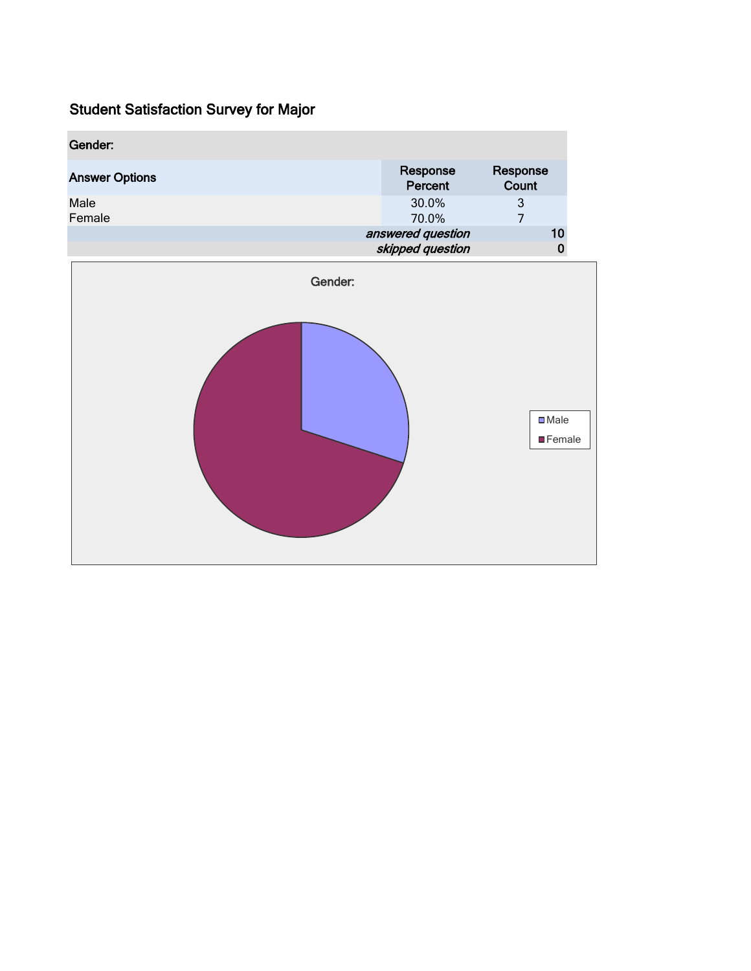| Gender:               |                                       |                                             |  |  |
|-----------------------|---------------------------------------|---------------------------------------------|--|--|
| <b>Answer Options</b> | Response<br>Percent                   | Response<br>Count                           |  |  |
| Male<br>Female        | 30.0%<br>70.0%                        | $\ensuremath{\mathsf{3}}$<br>$\overline{7}$ |  |  |
|                       | answered question<br>skipped question | 10<br>$\pmb{0}$                             |  |  |
| Gender:               |                                       |                                             |  |  |
|                       |                                       | $\square$ Male                              |  |  |
|                       |                                       | <b>E</b> Female                             |  |  |
|                       |                                       |                                             |  |  |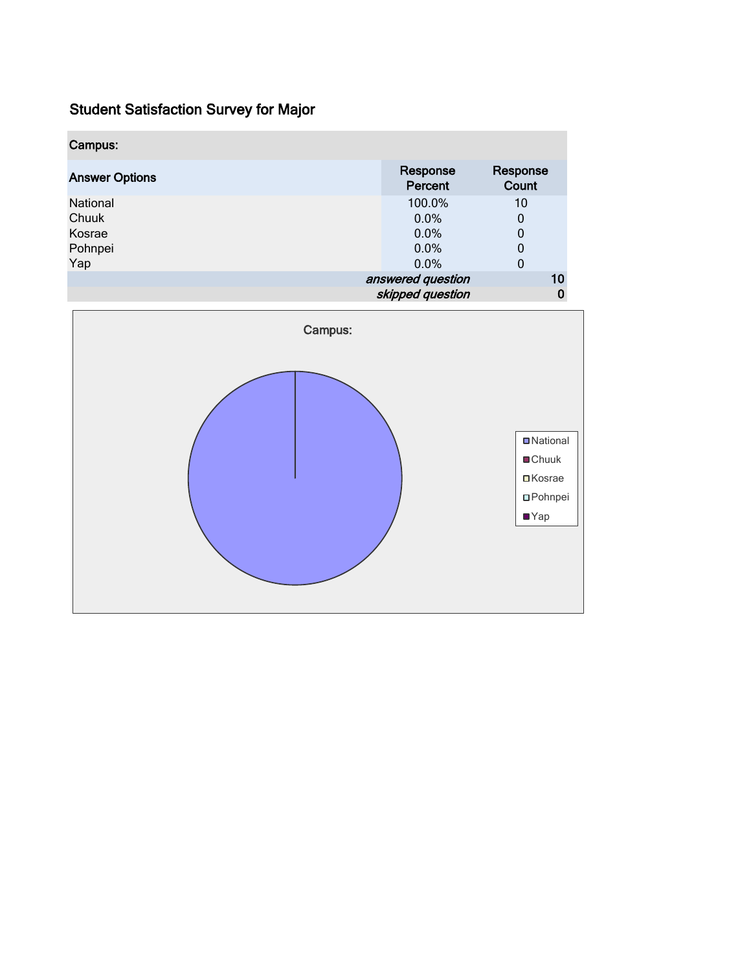| Campus:               |                     |                   |
|-----------------------|---------------------|-------------------|
| <b>Answer Options</b> | Response<br>Percent | Response<br>Count |
| National              | 100.0%              | 10                |
| Chuuk                 | 0.0%                | 0                 |
| Kosrae                | 0.0%                | 0                 |
| Pohnpei               | $0.0\%$             | 0                 |
| Yap                   | 0.0%                | 0                 |
|                       | answered question   | 10                |
|                       | skipped question    |                   |

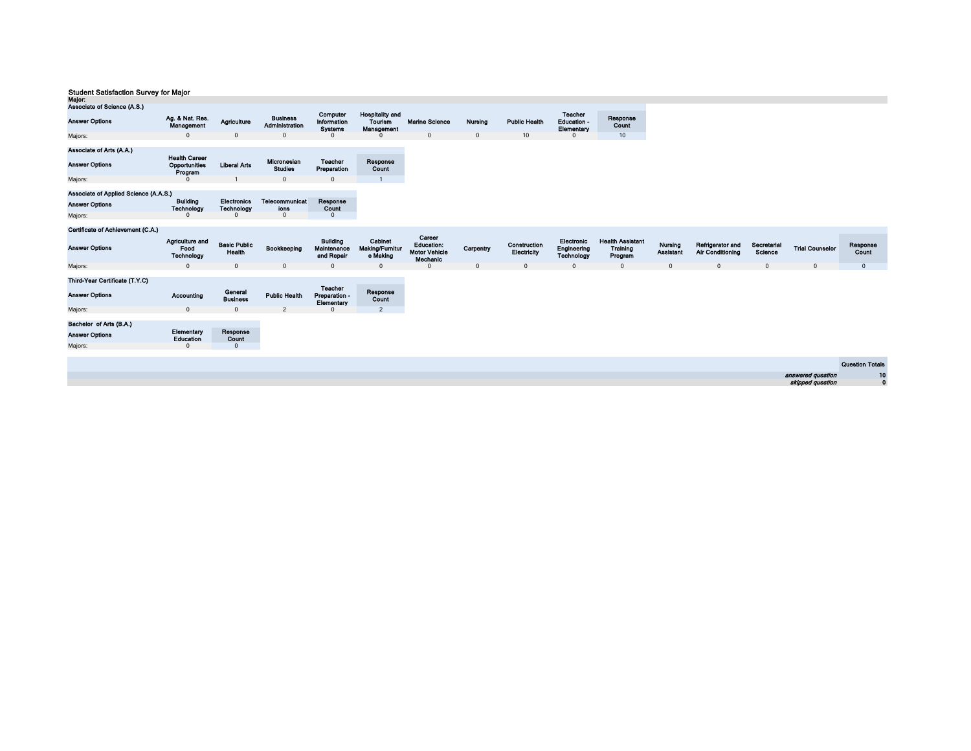| maju.                                                        |                                                  |                                         |                                           |                                               |                                                        |                                                                 |              |                             |                                             |                                                |                             |                                             |                        |                        |                        |
|--------------------------------------------------------------|--------------------------------------------------|-----------------------------------------|-------------------------------------------|-----------------------------------------------|--------------------------------------------------------|-----------------------------------------------------------------|--------------|-----------------------------|---------------------------------------------|------------------------------------------------|-----------------------------|---------------------------------------------|------------------------|------------------------|------------------------|
| Associate of Science (A.S.)                                  |                                                  |                                         |                                           |                                               |                                                        |                                                                 |              |                             |                                             |                                                |                             |                                             |                        |                        |                        |
| <b>Answer Options</b>                                        | Ag. & Nat. Res.<br>Management                    | Agriculture                             | <b>Business</b><br>Administration         | Computer<br>Information<br><b>Systems</b>     | <b>Hospitality and</b><br><b>Tourism</b><br>Management | <b>Marine Science</b>                                           | Nursing      | <b>Public Health</b>        | <b>Teacher</b><br>Education -<br>Elementary | Response<br>Count                              |                             |                                             |                        |                        |                        |
| Majors:                                                      | $\Omega$                                         | $\mathbf 0$                             | $\Omega$                                  | $\Omega$                                      |                                                        | $\mathbf{0}$                                                    | $\mathbf{0}$ | 10 <sup>10</sup>            | $\Omega$                                    | 10                                             |                             |                                             |                        |                        |                        |
| Associate of Arts (A.A.)<br><b>Answer Options</b><br>Majors: | <b>Health Career</b><br>Opportunities<br>Program | <b>Liberal Arts</b>                     | Micronesian<br><b>Studies</b><br>$\Omega$ | <b>Teacher</b><br>Preparation<br>$\Omega$     | Response<br>Count<br>$\overline{1}$                    |                                                                 |              |                             |                                             |                                                |                             |                                             |                        |                        |                        |
|                                                              |                                                  |                                         |                                           |                                               |                                                        |                                                                 |              |                             |                                             |                                                |                             |                                             |                        |                        |                        |
| Associate of Applied Science (A.A.S.)                        |                                                  |                                         |                                           |                                               |                                                        |                                                                 |              |                             |                                             |                                                |                             |                                             |                        |                        |                        |
| <b>Answer Options</b>                                        | <b>Building</b><br>Technology                    | <b>Electronics</b><br><b>Technology</b> | Telecommunicat<br>ions                    | Response<br>Count                             |                                                        |                                                                 |              |                             |                                             |                                                |                             |                                             |                        |                        |                        |
| Majors:                                                      | $\Omega$                                         | $\Omega$                                | $\mathbf{0}$                              | $\mathbf{0}$                                  |                                                        |                                                                 |              |                             |                                             |                                                |                             |                                             |                        |                        |                        |
|                                                              |                                                  |                                         |                                           |                                               |                                                        |                                                                 |              |                             |                                             |                                                |                             |                                             |                        |                        |                        |
| Certificate of Achievement (C.A.)                            |                                                  |                                         |                                           |                                               |                                                        |                                                                 |              |                             |                                             |                                                |                             |                                             |                        |                        |                        |
| <b>Answer Options</b>                                        | Agriculture and<br>Food<br>Technology            | <b>Basic Public</b><br>Health           | Bookkeeping                               | <b>Building</b><br>Maintenance<br>and Repair  | Cabinet<br>Making/Furnitur<br>e Making                 | Career<br><b>Education:</b><br><b>Motor Vehicle</b><br>Mechanic | Carpentry    | Construction<br>Electricity | Electronic<br>Engineering<br>Technology     | <b>Health Assistant</b><br>Training<br>Program | Nursing<br><b>Assistant</b> | Refrigerator and<br><b>Air Conditioning</b> | Secretarial<br>Science | <b>Trial Counselor</b> | Response<br>Count      |
| Majors:                                                      | $\mathbf{0}$                                     | $\mathbf 0$                             | $\mathbf{0}$                              | $\mathbf{0}$                                  | $\mathbf{0}$                                           | $\Omega$                                                        | $\mathbf 0$  | $\mathbf{0}$                | $\mathbf 0$                                 | $\mathbf 0$                                    | $\mathbf{0}$                | $\mathbf 0$                                 | $\mathbf 0$            | $\mathbf 0$            | $\mathbf{0}$           |
| Third-Year Certificate (T.Y.C)<br><b>Answer Options</b>      | Accounting                                       | Goneral<br><b>Business</b>              | <b>Public Health</b>                      | <b>Teacher</b><br>Preparation -<br>Elementary | Response<br>Count                                      |                                                                 |              |                             |                                             |                                                |                             |                                             |                        |                        |                        |
| Majors:                                                      | $\mathbf{0}$                                     | $\Omega$                                | $\overline{2}$                            | $\Omega$                                      | $\overline{2}$                                         |                                                                 |              |                             |                                             |                                                |                             |                                             |                        |                        |                        |
|                                                              |                                                  |                                         |                                           |                                               |                                                        |                                                                 |              |                             |                                             |                                                |                             |                                             |                        |                        |                        |
| Bachelor of Arts (B.A.)                                      |                                                  |                                         |                                           |                                               |                                                        |                                                                 |              |                             |                                             |                                                |                             |                                             |                        |                        |                        |
| <b>Answer Options</b>                                        | Elementary<br>Education                          | Response<br>Count                       |                                           |                                               |                                                        |                                                                 |              |                             |                                             |                                                |                             |                                             |                        |                        |                        |
| Majors:                                                      | $\Omega$                                         | $\mathbf{0}$                            |                                           |                                               |                                                        |                                                                 |              |                             |                                             |                                                |                             |                                             |                        |                        |                        |
|                                                              |                                                  |                                         |                                           |                                               |                                                        |                                                                 |              |                             |                                             |                                                |                             |                                             |                        |                        |                        |
|                                                              |                                                  |                                         |                                           |                                               |                                                        |                                                                 |              |                             |                                             |                                                |                             |                                             |                        |                        | <b>Question Totals</b> |
|                                                              |                                                  |                                         |                                           |                                               |                                                        |                                                                 |              |                             |                                             |                                                |                             |                                             |                        | answered question      | 10                     |
|                                                              |                                                  |                                         |                                           |                                               |                                                        |                                                                 |              |                             |                                             |                                                |                             |                                             |                        | skipped question       | $\mathbf{0}$           |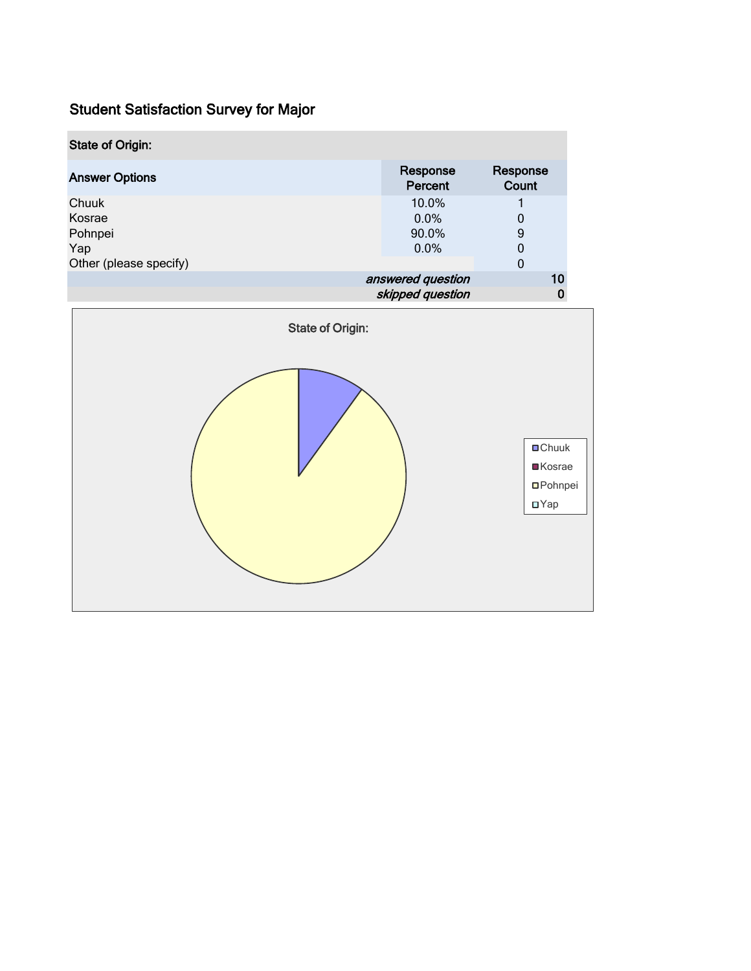| <b>State of Origin:</b> |                     |                   |   |
|-------------------------|---------------------|-------------------|---|
| <b>Answer Options</b>   | Response<br>Percent | Response<br>Count |   |
| Chuuk                   | 10.0%               |                   |   |
| Kosrae                  | $0.0\%$             | 0                 |   |
| Pohnpei                 | 90.0%               | 9                 |   |
| Yap                     | $0.0\%$             | 0                 |   |
| Other (please specify)  |                     | 0                 |   |
|                         | answered question   |                   |   |
|                         | skipped question    |                   | 0 |